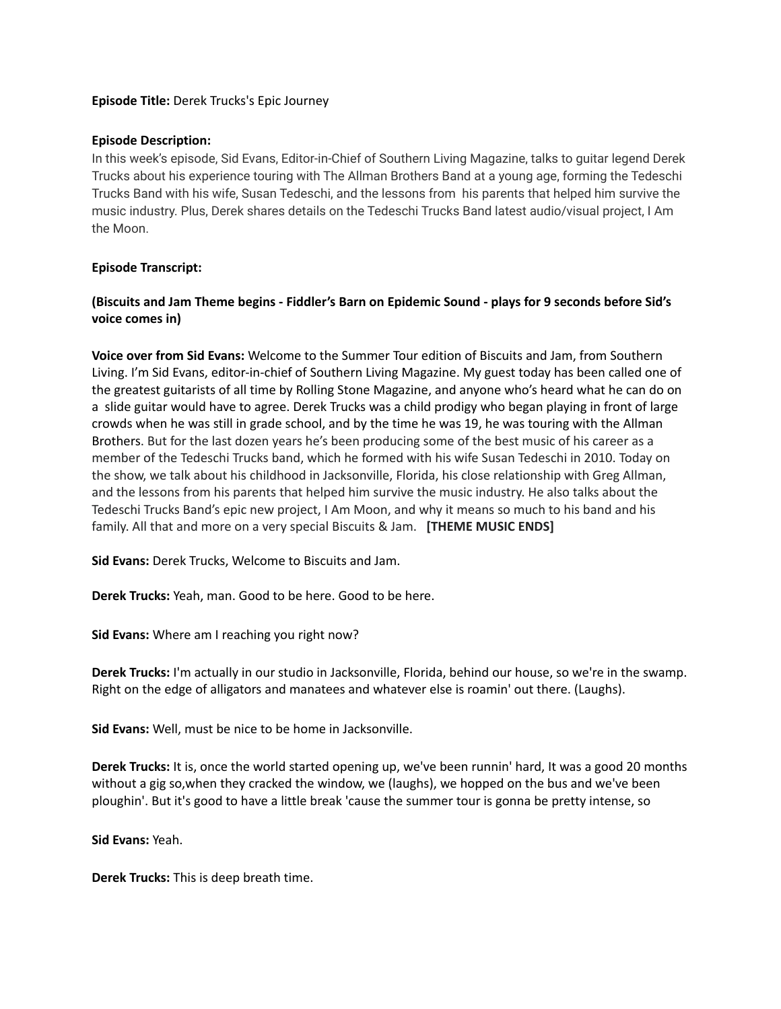#### **Episode Title:** Derek Trucks's Epic Journey

#### **Episode Description:**

In this week's episode, Sid Evans, Editor-in-Chief of Southern Living Magazine, talks to guitar legend Derek Trucks about his experience touring with The Allman Brothers Band at a young age, forming the Tedeschi Trucks Band with his wife, Susan Tedeschi, and the lessons from his parents that helped him survive the music industry. Plus, Derek shares details on the Tedeschi Trucks Band latest audio/visual project, I Am the Moon.

## **Episode Transcript:**

# (Biscuits and Jam Theme begins - Fiddler's Barn on Epidemic Sound - plays for 9 seconds before Sid's **voice comes in)**

**Voice over from Sid Evans:** Welcome to the Summer Tour edition of Biscuits and Jam, from Southern Living. I'm Sid Evans, editor-in-chief of Southern Living Magazine. My guest today has been called one of the greatest guitarists of all time by Rolling Stone Magazine, and anyone who's heard what he can do on a slide guitar would have to agree. Derek Trucks was a child prodigy who began playing in front of large crowds when he was still in grade school, and by the time he was 19, he was touring with the Allman Brothers. But for the last dozen years he's been producing some of the best music of his career as a member of the Tedeschi Trucks band, which he formed with his wife Susan Tedeschi in 2010. Today on the show, we talk about his childhood in Jacksonville, Florida, his close relationship with Greg Allman, and the lessons from his parents that helped him survive the music industry. He also talks about the Tedeschi Trucks Band's epic new project, I Am Moon, and why it means so much to his band and his family. All that and more on a very special Biscuits & Jam. **[THEME MUSIC ENDS]**

**Sid Evans:** Derek Trucks, Welcome to Biscuits and Jam.

**Derek Trucks:** Yeah, man. Good to be here. Good to be here.

**Sid Evans:** Where am I reaching you right now?

**Derek Trucks:** I'm actually in our studio in Jacksonville, Florida, behind our house, so we're in the swamp. Right on the edge of alligators and manatees and whatever else is roamin' out there. (Laughs).

**Sid Evans:** Well, must be nice to be home in Jacksonville.

**Derek Trucks:** It is, once the world started opening up, we've been runnin' hard, It was a good 20 months without a gig so,when they cracked the window, we (laughs), we hopped on the bus and we've been ploughin'. But it's good to have a little break 'cause the summer tour is gonna be pretty intense, so

**Sid Evans:** Yeah.

**Derek Trucks:** This is deep breath time.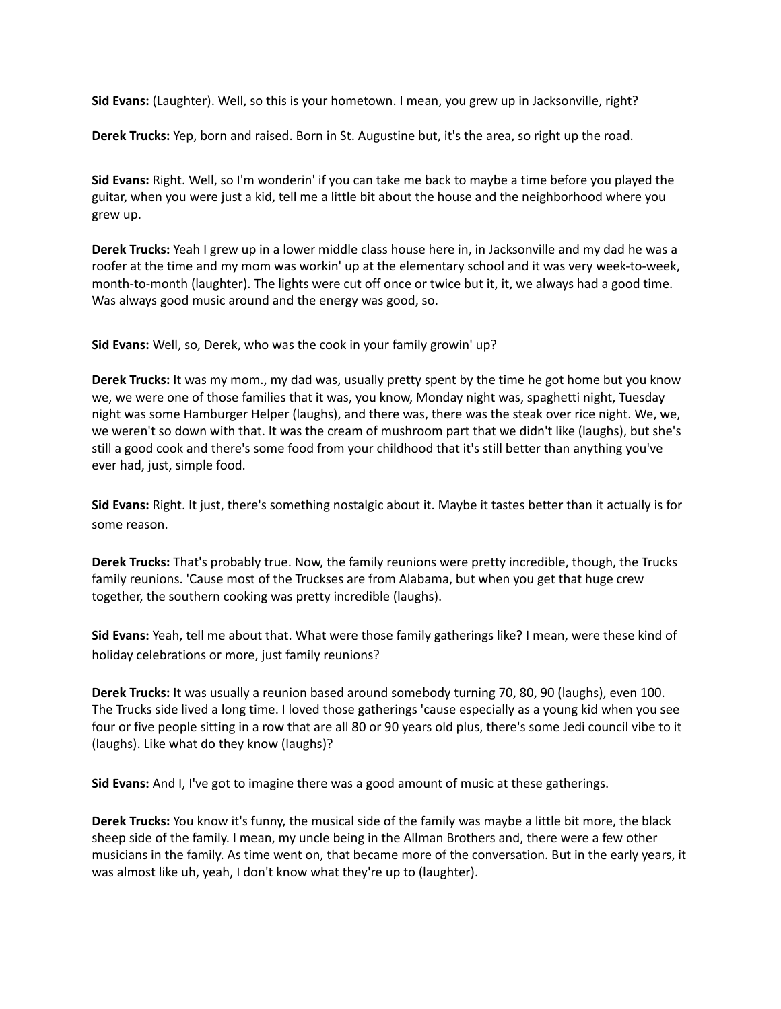**Sid Evans:** (Laughter). Well, so this is your hometown. I mean, you grew up in Jacksonville, right?

**Derek Trucks:** Yep, born and raised. Born in St. Augustine but, it's the area, so right up the road.

**Sid Evans:** Right. Well, so I'm wonderin' if you can take me back to maybe a time before you played the guitar, when you were just a kid, tell me a little bit about the house and the neighborhood where you grew up.

**Derek Trucks:** Yeah I grew up in a lower middle class house here in, in Jacksonville and my dad he was a roofer at the time and my mom was workin' up at the elementary school and it was very week-to-week, month-to-month (laughter). The lights were cut off once or twice but it, it, we always had a good time. Was always good music around and the energy was good, so.

**Sid Evans:** Well, so, Derek, who was the cook in your family growin' up?

**Derek Trucks:** It was my mom., my dad was, usually pretty spent by the time he got home but you know we, we were one of those families that it was, you know, Monday night was, spaghetti night, Tuesday night was some Hamburger Helper (laughs), and there was, there was the steak over rice night. We, we, we weren't so down with that. It was the cream of mushroom part that we didn't like (laughs), but she's still a good cook and there's some food from your childhood that it's still better than anything you've ever had, just, simple food.

**Sid Evans:** Right. It just, there's something nostalgic about it. Maybe it tastes better than it actually is for some reason.

**Derek Trucks:** That's probably true. Now, the family reunions were pretty incredible, though, the Trucks family reunions. 'Cause most of the Truckses are from Alabama, but when you get that huge crew together, the southern cooking was pretty incredible (laughs).

**Sid Evans:** Yeah, tell me about that. What were those family gatherings like? I mean, were these kind of holiday celebrations or more, just family reunions?

**Derek Trucks:** It was usually a reunion based around somebody turning 70, 80, 90 (laughs), even 100. The Trucks side lived a long time. I loved those gatherings 'cause especially as a young kid when you see four or five people sitting in a row that are all 80 or 90 years old plus, there's some Jedi council vibe to it (laughs). Like what do they know (laughs)?

**Sid Evans:** And I, I've got to imagine there was a good amount of music at these gatherings.

**Derek Trucks:** You know it's funny, the musical side of the family was maybe a little bit more, the black sheep side of the family. I mean, my uncle being in the Allman Brothers and, there were a few other musicians in the family. As time went on, that became more of the conversation. But in the early years, it was almost like uh, yeah, I don't know what they're up to (laughter).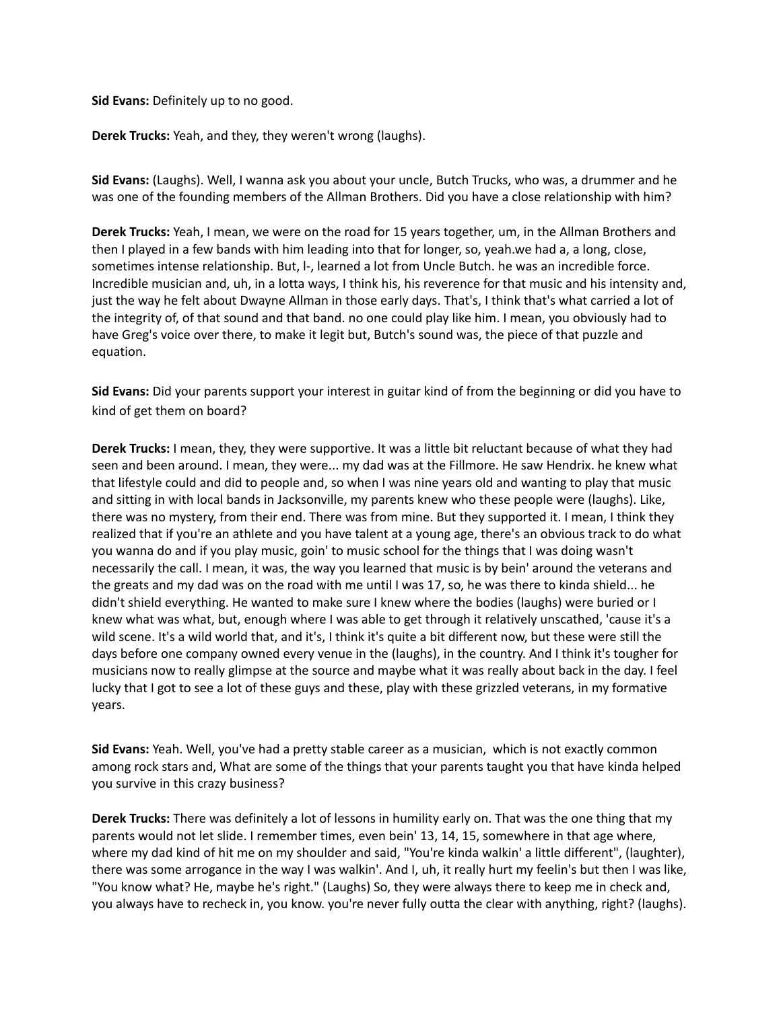**Sid Evans:** Definitely up to no good.

**Derek Trucks:** Yeah, and they, they weren't wrong (laughs).

**Sid Evans:** (Laughs). Well, I wanna ask you about your uncle, Butch Trucks, who was, a drummer and he was one of the founding members of the Allman Brothers. Did you have a close relationship with him?

**Derek Trucks:** Yeah, I mean, we were on the road for 15 years together, um, in the Allman Brothers and then I played in a few bands with him leading into that for longer, so, yeah.we had a, a long, close, sometimes intense relationship. But, l-, learned a lot from Uncle Butch. he was an incredible force. Incredible musician and, uh, in a lotta ways, I think his, his reverence for that music and his intensity and, just the way he felt about Dwayne Allman in those early days. That's, I think that's what carried a lot of the integrity of, of that sound and that band. no one could play like him. I mean, you obviously had to have Greg's voice over there, to make it legit but, Butch's sound was, the piece of that puzzle and equation.

**Sid Evans:** Did your parents support your interest in guitar kind of from the beginning or did you have to kind of get them on board?

**Derek Trucks:** I mean, they, they were supportive. It was a little bit reluctant because of what they had seen and been around. I mean, they were... my dad was at the Fillmore. He saw Hendrix. he knew what that lifestyle could and did to people and, so when I was nine years old and wanting to play that music and sitting in with local bands in Jacksonville, my parents knew who these people were (laughs). Like, there was no mystery, from their end. There was from mine. But they supported it. I mean, I think they realized that if you're an athlete and you have talent at a young age, there's an obvious track to do what you wanna do and if you play music, goin' to music school for the things that I was doing wasn't necessarily the call. I mean, it was, the way you learned that music is by bein' around the veterans and the greats and my dad was on the road with me until I was 17, so, he was there to kinda shield... he didn't shield everything. He wanted to make sure I knew where the bodies (laughs) were buried or I knew what was what, but, enough where I was able to get through it relatively unscathed, 'cause it's a wild scene. It's a wild world that, and it's, I think it's quite a bit different now, but these were still the days before one company owned every venue in the (laughs), in the country. And I think it's tougher for musicians now to really glimpse at the source and maybe what it was really about back in the day. I feel lucky that I got to see a lot of these guys and these, play with these grizzled veterans, in my formative years.

**Sid Evans:** Yeah. Well, you've had a pretty stable career as a musician, which is not exactly common among rock stars and, What are some of the things that your parents taught you that have kinda helped you survive in this crazy business?

**Derek Trucks:** There was definitely a lot of lessons in humility early on. That was the one thing that my parents would not let slide. I remember times, even bein' 13, 14, 15, somewhere in that age where, where my dad kind of hit me on my shoulder and said, "You're kinda walkin' a little different", (laughter), there was some arrogance in the way I was walkin'. And I, uh, it really hurt my feelin's but then I was like, "You know what? He, maybe he's right." (Laughs) So, they were always there to keep me in check and, you always have to recheck in, you know. you're never fully outta the clear with anything, right? (laughs).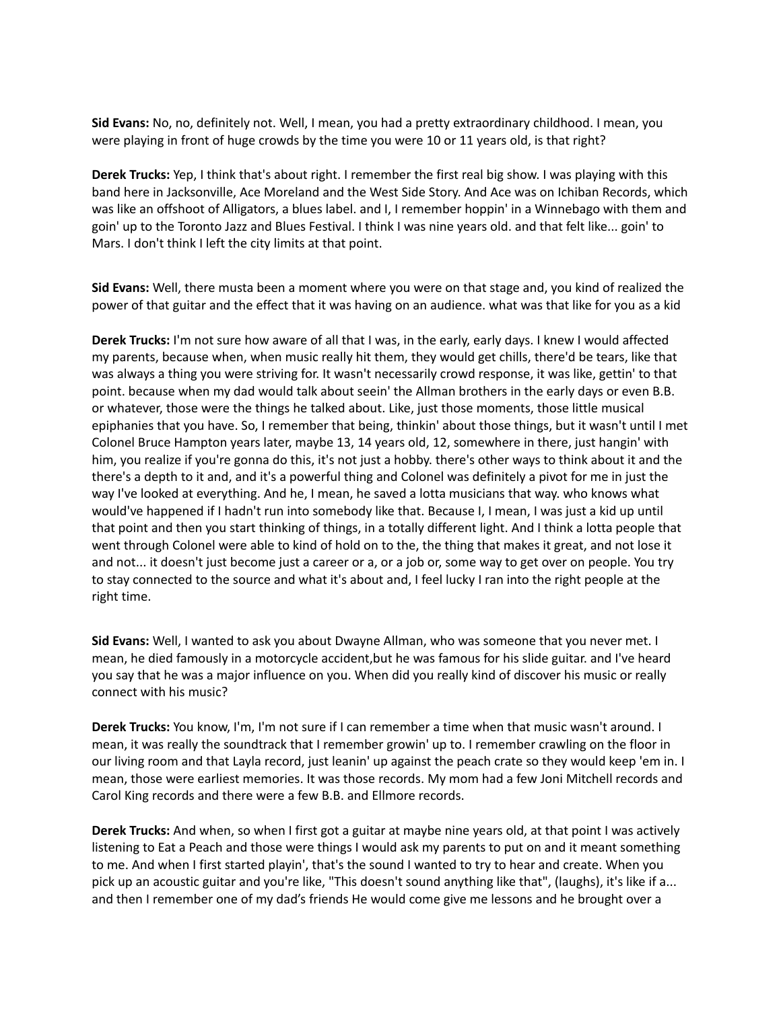**Sid Evans:** No, no, definitely not. Well, I mean, you had a pretty extraordinary childhood. I mean, you were playing in front of huge crowds by the time you were 10 or 11 years old, is that right?

**Derek Trucks:** Yep, I think that's about right. I remember the first real big show. I was playing with this band here in Jacksonville, Ace Moreland and the West Side Story. And Ace was on Ichiban Records, which was like an offshoot of Alligators, a blues label. and I, I remember hoppin' in a Winnebago with them and goin' up to the Toronto Jazz and Blues Festival. I think I was nine years old. and that felt like... goin' to Mars. I don't think I left the city limits at that point.

**Sid Evans:** Well, there musta been a moment where you were on that stage and, you kind of realized the power of that guitar and the effect that it was having on an audience. what was that like for you as a kid

**Derek Trucks:** I'm not sure how aware of all that I was, in the early, early days. I knew I would affected my parents, because when, when music really hit them, they would get chills, there'd be tears, like that was always a thing you were striving for. It wasn't necessarily crowd response, it was like, gettin' to that point. because when my dad would talk about seein' the Allman brothers in the early days or even B.B. or whatever, those were the things he talked about. Like, just those moments, those little musical epiphanies that you have. So, I remember that being, thinkin' about those things, but it wasn't until I met Colonel Bruce Hampton years later, maybe 13, 14 years old, 12, somewhere in there, just hangin' with him, you realize if you're gonna do this, it's not just a hobby. there's other ways to think about it and the there's a depth to it and, and it's a powerful thing and Colonel was definitely a pivot for me in just the way I've looked at everything. And he, I mean, he saved a lotta musicians that way. who knows what would've happened if I hadn't run into somebody like that. Because I, I mean, I was just a kid up until that point and then you start thinking of things, in a totally different light. And I think a lotta people that went through Colonel were able to kind of hold on to the, the thing that makes it great, and not lose it and not... it doesn't just become just a career or a, or a job or, some way to get over on people. You try to stay connected to the source and what it's about and, I feel lucky I ran into the right people at the right time.

**Sid Evans:** Well, I wanted to ask you about Dwayne Allman, who was someone that you never met. I mean, he died famously in a motorcycle accident,but he was famous for his slide guitar. and I've heard you say that he was a major influence on you. When did you really kind of discover his music or really connect with his music?

**Derek Trucks:** You know, I'm, I'm not sure if I can remember a time when that music wasn't around. I mean, it was really the soundtrack that I remember growin' up to. I remember crawling on the floor in our living room and that Layla record, just leanin' up against the peach crate so they would keep 'em in. I mean, those were earliest memories. It was those records. My mom had a few Joni Mitchell records and Carol King records and there were a few B.B. and Ellmore records.

**Derek Trucks:** And when, so when I first got a guitar at maybe nine years old, at that point I was actively listening to Eat a Peach and those were things I would ask my parents to put on and it meant something to me. And when I first started playin', that's the sound I wanted to try to hear and create. When you pick up an acoustic guitar and you're like, "This doesn't sound anything like that", (laughs), it's like if a... and then I remember one of my dad's friends He would come give me lessons and he brought over a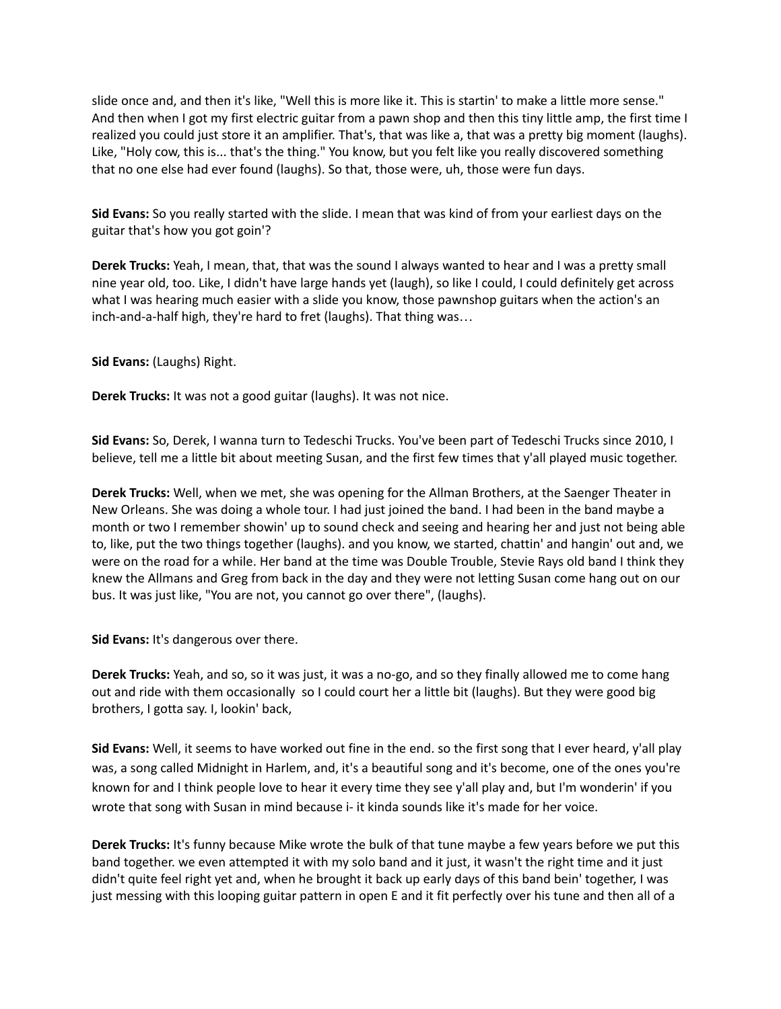slide once and, and then it's like, "Well this is more like it. This is startin' to make a little more sense." And then when I got my first electric guitar from a pawn shop and then this tiny little amp, the first time I realized you could just store it an amplifier. That's, that was like a, that was a pretty big moment (laughs). Like, "Holy cow, this is... that's the thing." You know, but you felt like you really discovered something that no one else had ever found (laughs). So that, those were, uh, those were fun days.

**Sid Evans:** So you really started with the slide. I mean that was kind of from your earliest days on the guitar that's how you got goin'?

**Derek Trucks:** Yeah, I mean, that, that was the sound I always wanted to hear and I was a pretty small nine year old, too. Like, I didn't have large hands yet (laugh), so like I could, I could definitely get across what I was hearing much easier with a slide you know, those pawnshop guitars when the action's an inch-and-a-half high, they're hard to fret (laughs). That thing was…

**Sid Evans:** (Laughs) Right.

**Derek Trucks:** It was not a good guitar (laughs). It was not nice.

**Sid Evans:** So, Derek, I wanna turn to Tedeschi Trucks. You've been part of Tedeschi Trucks since 2010, I believe, tell me a little bit about meeting Susan, and the first few times that y'all played music together.

**Derek Trucks:** Well, when we met, she was opening for the Allman Brothers, at the Saenger Theater in New Orleans. She was doing a whole tour. I had just joined the band. I had been in the band maybe a month or two I remember showin' up to sound check and seeing and hearing her and just not being able to, like, put the two things together (laughs). and you know, we started, chattin' and hangin' out and, we were on the road for a while. Her band at the time was Double Trouble, Stevie Rays old band I think they knew the Allmans and Greg from back in the day and they were not letting Susan come hang out on our bus. It was just like, "You are not, you cannot go over there", (laughs).

**Sid Evans:** It's dangerous over there.

**Derek Trucks:** Yeah, and so, so it was just, it was a no-go, and so they finally allowed me to come hang out and ride with them occasionally so I could court her a little bit (laughs). But they were good big brothers, I gotta say. I, lookin' back,

**Sid Evans:** Well, it seems to have worked out fine in the end. so the first song that I ever heard, y'all play was, a song called Midnight in Harlem, and, it's a beautiful song and it's become, one of the ones you're known for and I think people love to hear it every time they see y'all play and, but I'm wonderin' if you wrote that song with Susan in mind because i- it kinda sounds like it's made for her voice.

**Derek Trucks:** It's funny because Mike wrote the bulk of that tune maybe a few years before we put this band together. we even attempted it with my solo band and it just, it wasn't the right time and it just didn't quite feel right yet and, when he brought it back up early days of this band bein' together, I was just messing with this looping guitar pattern in open E and it fit perfectly over his tune and then all of a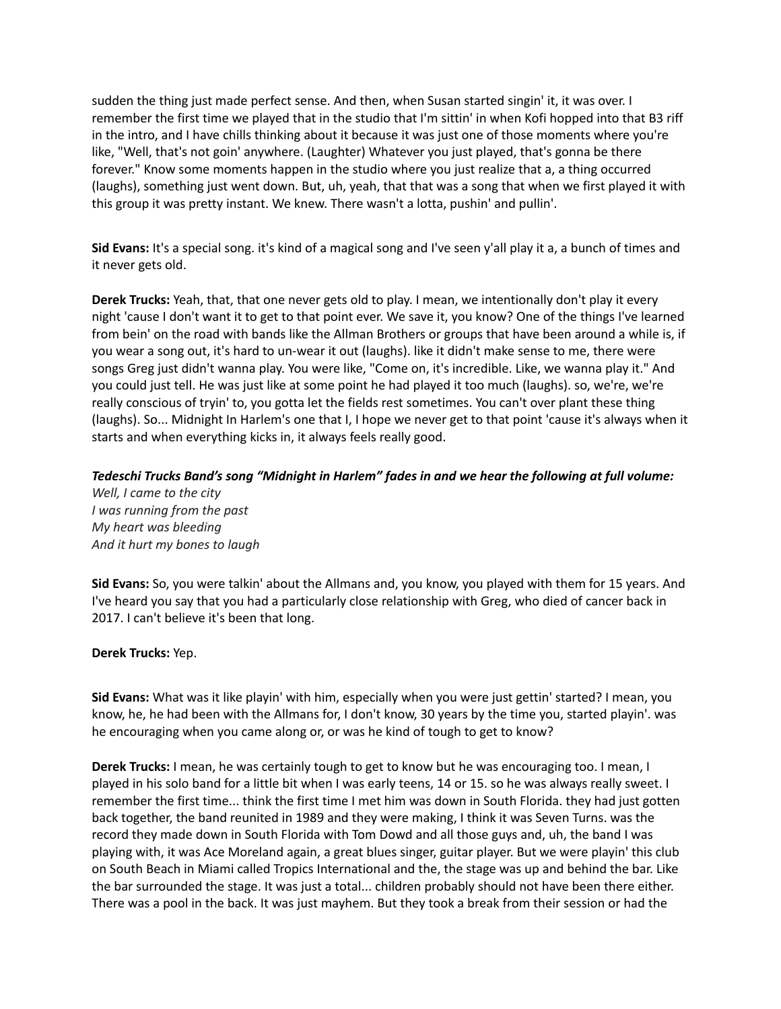sudden the thing just made perfect sense. And then, when Susan started singin' it, it was over. I remember the first time we played that in the studio that I'm sittin' in when Kofi hopped into that B3 riff in the intro, and I have chills thinking about it because it was just one of those moments where you're like, "Well, that's not goin' anywhere. (Laughter) Whatever you just played, that's gonna be there forever." Know some moments happen in the studio where you just realize that a, a thing occurred (laughs), something just went down. But, uh, yeah, that that was a song that when we first played it with this group it was pretty instant. We knew. There wasn't a lotta, pushin' and pullin'.

**Sid Evans:** It's a special song. it's kind of a magical song and I've seen y'all play it a, a bunch of times and it never gets old.

**Derek Trucks:** Yeah, that, that one never gets old to play. I mean, we intentionally don't play it every night 'cause I don't want it to get to that point ever. We save it, you know? One of the things I've learned from bein' on the road with bands like the Allman Brothers or groups that have been around a while is, if you wear a song out, it's hard to un-wear it out (laughs). like it didn't make sense to me, there were songs Greg just didn't wanna play. You were like, "Come on, it's incredible. Like, we wanna play it." And you could just tell. He was just like at some point he had played it too much (laughs). so, we're, we're really conscious of tryin' to, you gotta let the fields rest sometimes. You can't over plant these thing (laughs). So... Midnight In Harlem's one that I, I hope we never get to that point 'cause it's always when it starts and when everything kicks in, it always feels really good.

## *Tedeschi Trucks Band's song "Midnight in Harlem" fades in and we hear the following at full volume:*

*Well, I came to the city I was running from the past My heart was bleeding And it hurt my bones to laugh*

**Sid Evans:** So, you were talkin' about the Allmans and, you know, you played with them for 15 years. And I've heard you say that you had a particularly close relationship with Greg, who died of cancer back in 2017. I can't believe it's been that long.

#### **Derek Trucks:** Yep.

**Sid Evans:** What was it like playin' with him, especially when you were just gettin' started? I mean, you know, he, he had been with the Allmans for, I don't know, 30 years by the time you, started playin'. was he encouraging when you came along or, or was he kind of tough to get to know?

**Derek Trucks:** I mean, he was certainly tough to get to know but he was encouraging too. I mean, I played in his solo band for a little bit when I was early teens, 14 or 15. so he was always really sweet. I remember the first time... think the first time I met him was down in South Florida. they had just gotten back together, the band reunited in 1989 and they were making, I think it was Seven Turns. was the record they made down in South Florida with Tom Dowd and all those guys and, uh, the band I was playing with, it was Ace Moreland again, a great blues singer, guitar player. But we were playin' this club on South Beach in Miami called Tropics International and the, the stage was up and behind the bar. Like the bar surrounded the stage. It was just a total... children probably should not have been there either. There was a pool in the back. It was just mayhem. But they took a break from their session or had the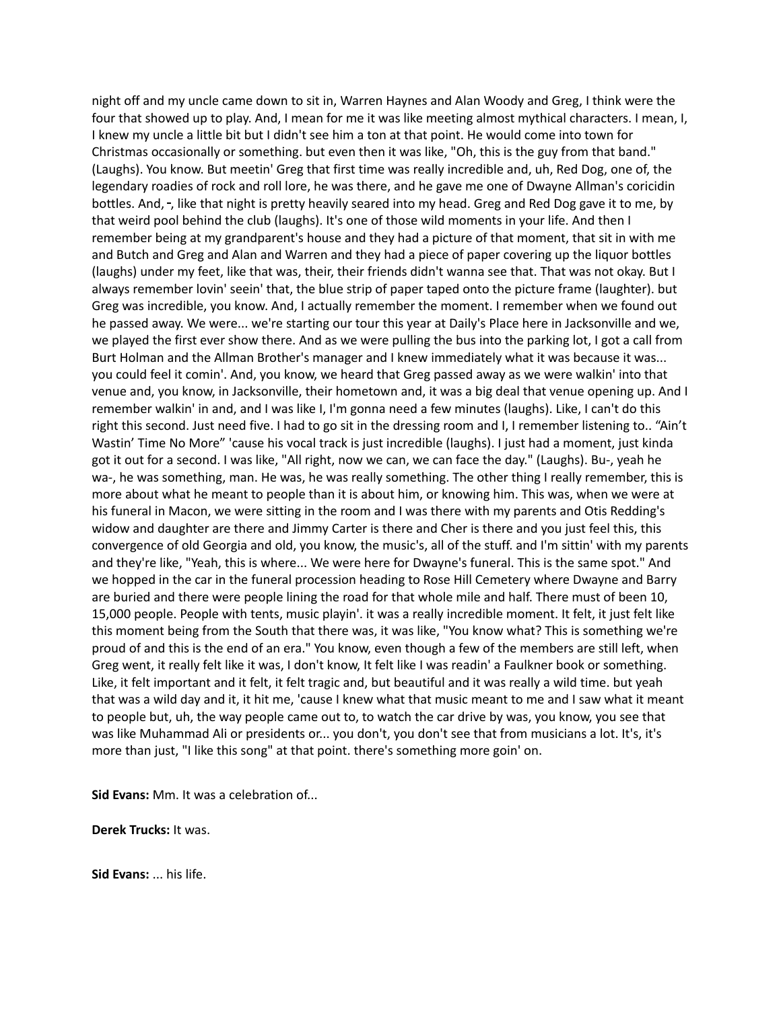night off and my uncle came down to sit in, Warren Haynes and Alan Woody and Greg, I think were the four that showed up to play. And, I mean for me it was like meeting almost mythical characters. I mean, I, I knew my uncle a little bit but I didn't see him a ton at that point. He would come into town for Christmas occasionally or something. but even then it was like, "Oh, this is the guy from that band." (Laughs). You know. But meetin' Greg that first time was really incredible and, uh, Red Dog, one of, the legendary roadies of rock and roll lore, he was there, and he gave me one of Dwayne Allman's coricidin bottles. And, -, like that night is pretty heavily seared into my head. Greg and Red Dog gave it to me, by that weird pool behind the club (laughs). It's one of those wild moments in your life. And then I remember being at my grandparent's house and they had a picture of that moment, that sit in with me and Butch and Greg and Alan and Warren and they had a piece of paper covering up the liquor bottles (laughs) under my feet, like that was, their, their friends didn't wanna see that. That was not okay. But I always remember lovin' seein' that, the blue strip of paper taped onto the picture frame (laughter). but Greg was incredible, you know. And, I actually remember the moment. I remember when we found out he passed away. We were... we're starting our tour this year at Daily's Place here in Jacksonville and we, we played the first ever show there. And as we were pulling the bus into the parking lot, I got a call from Burt Holman and the Allman Brother's manager and I knew immediately what it was because it was... you could feel it comin'. And, you know, we heard that Greg passed away as we were walkin' into that venue and, you know, in Jacksonville, their hometown and, it was a big deal that venue opening up. And I remember walkin' in and, and I was like I, I'm gonna need a few minutes (laughs). Like, I can't do this right this second. Just need five. I had to go sit in the dressing room and I, I remember listening to.. "Ain't Wastin' Time No More" 'cause his vocal track is just incredible (laughs). I just had a moment, just kinda got it out for a second. I was like, "All right, now we can, we can face the day." (Laughs). Bu-, yeah he wa-, he was something, man. He was, he was really something. The other thing I really remember, this is more about what he meant to people than it is about him, or knowing him. This was, when we were at his funeral in Macon, we were sitting in the room and I was there with my parents and Otis Redding's widow and daughter are there and Jimmy Carter is there and Cher is there and you just feel this, this convergence of old Georgia and old, you know, the music's, all of the stuff. and I'm sittin' with my parents and they're like, "Yeah, this is where... We were here for Dwayne's funeral. This is the same spot." And we hopped in the car in the funeral procession heading to Rose Hill Cemetery where Dwayne and Barry are buried and there were people lining the road for that whole mile and half. There must of been 10, 15,000 people. People with tents, music playin'. it was a really incredible moment. It felt, it just felt like this moment being from the South that there was, it was like, "You know what? This is something we're proud of and this is the end of an era." You know, even though a few of the members are still left, when Greg went, it really felt like it was, I don't know, It felt like I was readin' a Faulkner book or something. Like, it felt important and it felt, it felt tragic and, but beautiful and it was really a wild time. but yeah that was a wild day and it, it hit me, 'cause I knew what that music meant to me and I saw what it meant to people but, uh, the way people came out to, to watch the car drive by was, you know, you see that was like Muhammad Ali or presidents or... you don't, you don't see that from musicians a lot. It's, it's more than just, "I like this song" at that point. there's something more goin' on.

**Sid Evans:** Mm. It was a celebration of...

**Derek Trucks:** It was.

**Sid Evans:** ... his life.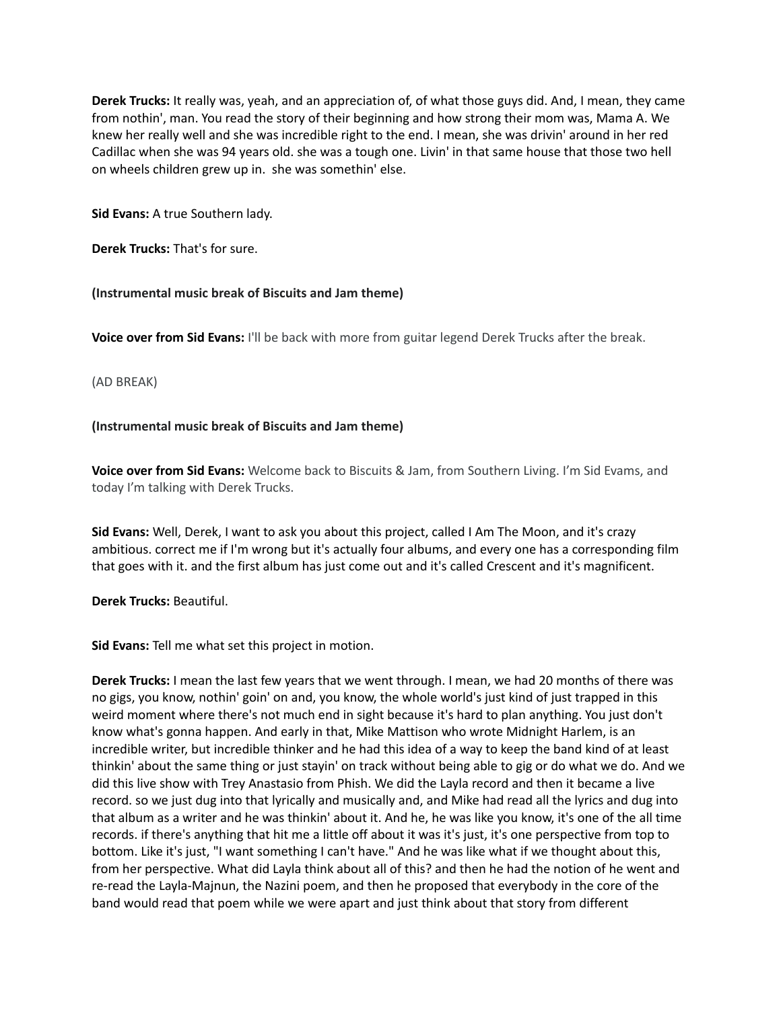**Derek Trucks:** It really was, yeah, and an appreciation of, of what those guys did. And, I mean, they came from nothin', man. You read the story of their beginning and how strong their mom was, Mama A. We knew her really well and she was incredible right to the end. I mean, she was drivin' around in her red Cadillac when she was 94 years old. she was a tough one. Livin' in that same house that those two hell on wheels children grew up in. she was somethin' else.

**Sid Evans:** A true Southern lady.

**Derek Trucks:** That's for sure.

**(Instrumental music break of Biscuits and Jam theme)**

**Voice over from Sid Evans:** I'll be back with more from guitar legend Derek Trucks after the break.

(AD BREAK)

#### **(Instrumental music break of Biscuits and Jam theme)**

**Voice over from Sid Evans:** Welcome back to Biscuits & Jam, from Southern Living. I'm Sid Evams, and today I'm talking with Derek Trucks.

**Sid Evans:** Well, Derek, I want to ask you about this project, called I Am The Moon, and it's crazy ambitious. correct me if I'm wrong but it's actually four albums, and every one has a corresponding film that goes with it. and the first album has just come out and it's called Crescent and it's magnificent.

**Derek Trucks:** Beautiful.

**Sid Evans:** Tell me what set this project in motion.

**Derek Trucks:** I mean the last few years that we went through. I mean, we had 20 months of there was no gigs, you know, nothin' goin' on and, you know, the whole world's just kind of just trapped in this weird moment where there's not much end in sight because it's hard to plan anything. You just don't know what's gonna happen. And early in that, Mike Mattison who wrote Midnight Harlem, is an incredible writer, but incredible thinker and he had this idea of a way to keep the band kind of at least thinkin' about the same thing or just stayin' on track without being able to gig or do what we do. And we did this live show with Trey Anastasio from Phish. We did the Layla record and then it became a live record. so we just dug into that lyrically and musically and, and Mike had read all the lyrics and dug into that album as a writer and he was thinkin' about it. And he, he was like you know, it's one of the all time records. if there's anything that hit me a little off about it was it's just, it's one perspective from top to bottom. Like it's just, "I want something I can't have." And he was like what if we thought about this, from her perspective. What did Layla think about all of this? and then he had the notion of he went and re-read the Layla-Majnun, the Nazini poem, and then he proposed that everybody in the core of the band would read that poem while we were apart and just think about that story from different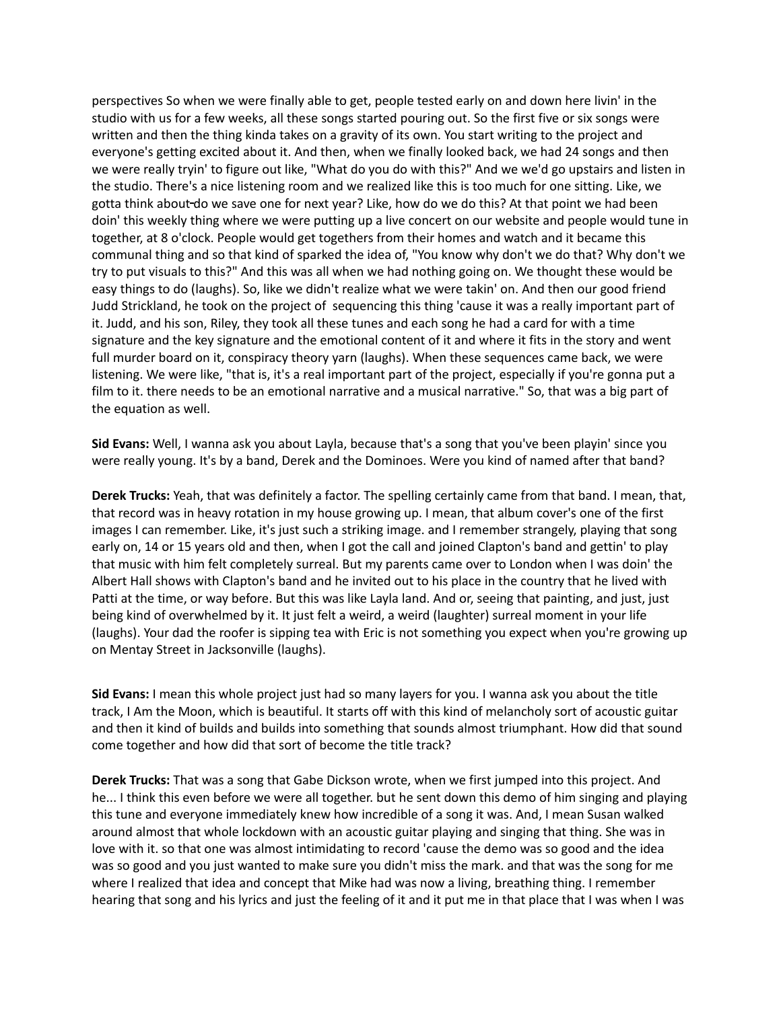perspectives So when we were finally able to get, people tested early on and down here livin' in the studio with us for a few weeks, all these songs started pouring out. So the first five or six songs were written and then the thing kinda takes on a gravity of its own. You start writing to the project and everyone's getting excited about it. And then, when we finally looked back, we had 24 songs and then we were really tryin' to figure out like, "What do you do with this?" And we we'd go upstairs and listen in the studio. There's a nice listening room and we realized like this is too much for one sitting. Like, we gotta think about do we save one for next year? Like, how do we do this? At that point we had been doin' this weekly thing where we were putting up a live concert on our website and people would tune in together, at 8 o'clock. People would get togethers from their homes and watch and it became this communal thing and so that kind of sparked the idea of, "You know why don't we do that? Why don't we try to put visuals to this?" And this was all when we had nothing going on. We thought these would be easy things to do (laughs). So, like we didn't realize what we were takin' on. And then our good friend Judd Strickland, he took on the project of sequencing this thing 'cause it was a really important part of it. Judd, and his son, Riley, they took all these tunes and each song he had a card for with a time signature and the key signature and the emotional content of it and where it fits in the story and went full murder board on it, conspiracy theory yarn (laughs). When these sequences came back, we were listening. We were like, "that is, it's a real important part of the project, especially if you're gonna put a film to it. there needs to be an emotional narrative and a musical narrative." So, that was a big part of the equation as well.

**Sid Evans:** Well, I wanna ask you about Layla, because that's a song that you've been playin' since you were really young. It's by a band, Derek and the Dominoes. Were you kind of named after that band?

**Derek Trucks:** Yeah, that was definitely a factor. The spelling certainly came from that band. I mean, that, that record was in heavy rotation in my house growing up. I mean, that album cover's one of the first images I can remember. Like, it's just such a striking image. and I remember strangely, playing that song early on, 14 or 15 years old and then, when I got the call and joined Clapton's band and gettin' to play that music with him felt completely surreal. But my parents came over to London when I was doin' the Albert Hall shows with Clapton's band and he invited out to his place in the country that he lived with Patti at the time, or way before. But this was like Layla land. And or, seeing that painting, and just, just being kind of overwhelmed by it. It just felt a weird, a weird (laughter) surreal moment in your life (laughs). Your dad the roofer is sipping tea with Eric is not something you expect when you're growing up on Mentay Street in Jacksonville (laughs).

**Sid Evans:** I mean this whole project just had so many layers for you. I wanna ask you about the title track, I Am the Moon, which is beautiful. It starts off with this kind of melancholy sort of acoustic guitar and then it kind of builds and builds into something that sounds almost triumphant. How did that sound come together and how did that sort of become the title track?

**Derek Trucks:** That was a song that Gabe Dickson wrote, when we first jumped into this project. And he... I think this even before we were all together. but he sent down this demo of him singing and playing this tune and everyone immediately knew how incredible of a song it was. And, I mean Susan walked around almost that whole lockdown with an acoustic guitar playing and singing that thing. She was in love with it. so that one was almost intimidating to record 'cause the demo was so good and the idea was so good and you just wanted to make sure you didn't miss the mark. and that was the song for me where I realized that idea and concept that Mike had was now a living, breathing thing. I remember hearing that song and his lyrics and just the feeling of it and it put me in that place that I was when I was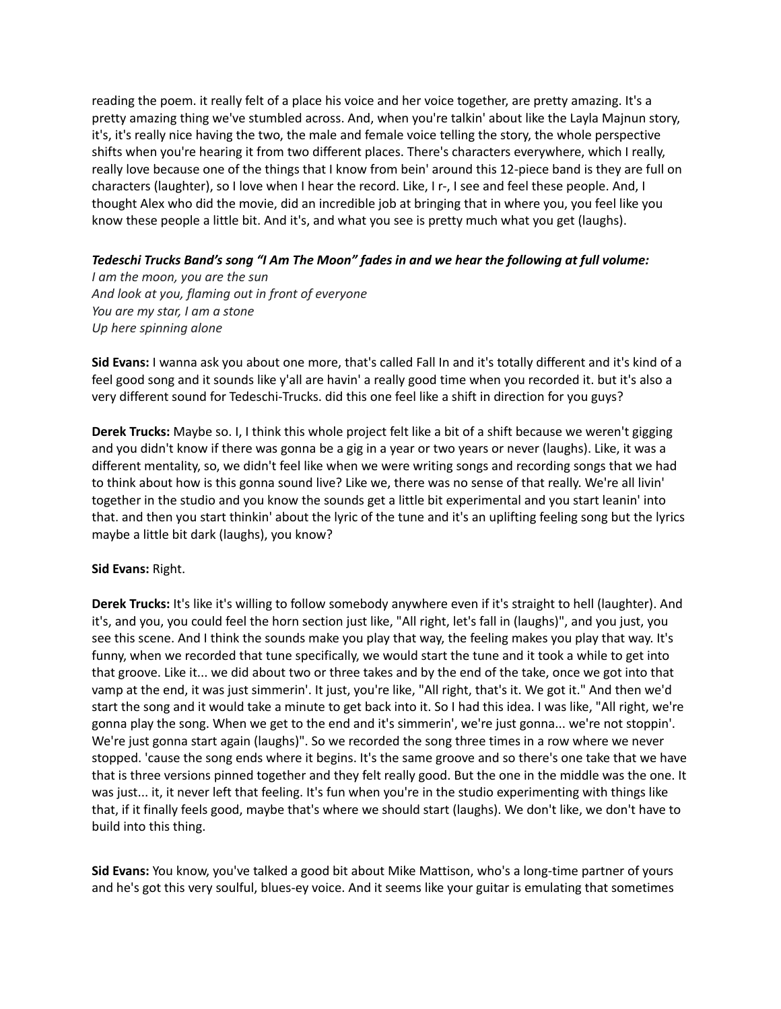reading the poem. it really felt of a place his voice and her voice together, are pretty amazing. It's a pretty amazing thing we've stumbled across. And, when you're talkin' about like the Layla Majnun story, it's, it's really nice having the two, the male and female voice telling the story, the whole perspective shifts when you're hearing it from two different places. There's characters everywhere, which I really, really love because one of the things that I know from bein' around this 12-piece band is they are full on characters (laughter), so I love when I hear the record. Like, I r-, I see and feel these people. And, I thought Alex who did the movie, did an incredible job at bringing that in where you, you feel like you know these people a little bit. And it's, and what you see is pretty much what you get (laughs).

## *Tedeschi Trucks Band's song "I Am The Moon" fades in and we hear the following at full volume:*

*I am the moon, you are the sun And look at you, flaming out in front of everyone You are my star, I am a stone Up here spinning alone*

**Sid Evans:** I wanna ask you about one more, that's called Fall In and it's totally different and it's kind of a feel good song and it sounds like y'all are havin' a really good time when you recorded it. but it's also a very different sound for Tedeschi-Trucks. did this one feel like a shift in direction for you guys?

**Derek Trucks:** Maybe so. I, I think this whole project felt like a bit of a shift because we weren't gigging and you didn't know if there was gonna be a gig in a year or two years or never (laughs). Like, it was a different mentality, so, we didn't feel like when we were writing songs and recording songs that we had to think about how is this gonna sound live? Like we, there was no sense of that really. We're all livin' together in the studio and you know the sounds get a little bit experimental and you start leanin' into that. and then you start thinkin' about the lyric of the tune and it's an uplifting feeling song but the lyrics maybe a little bit dark (laughs), you know?

## **Sid Evans:** Right.

**Derek Trucks:** It's like it's willing to follow somebody anywhere even if it's straight to hell (laughter). And it's, and you, you could feel the horn section just like, "All right, let's fall in (laughs)", and you just, you see this scene. And I think the sounds make you play that way, the feeling makes you play that way. It's funny, when we recorded that tune specifically, we would start the tune and it took a while to get into that groove. Like it... we did about two or three takes and by the end of the take, once we got into that vamp at the end, it was just simmerin'. It just, you're like, "All right, that's it. We got it." And then we'd start the song and it would take a minute to get back into it. So I had this idea. I was like, "All right, we're gonna play the song. When we get to the end and it's simmerin', we're just gonna... we're not stoppin'. We're just gonna start again (laughs)". So we recorded the song three times in a row where we never stopped. 'cause the song ends where it begins. It's the same groove and so there's one take that we have that is three versions pinned together and they felt really good. But the one in the middle was the one. It was just... it, it never left that feeling. It's fun when you're in the studio experimenting with things like that, if it finally feels good, maybe that's where we should start (laughs). We don't like, we don't have to build into this thing.

**Sid Evans:** You know, you've talked a good bit about Mike Mattison, who's a long-time partner of yours and he's got this very soulful, blues-ey voice. And it seems like your guitar is emulating that sometimes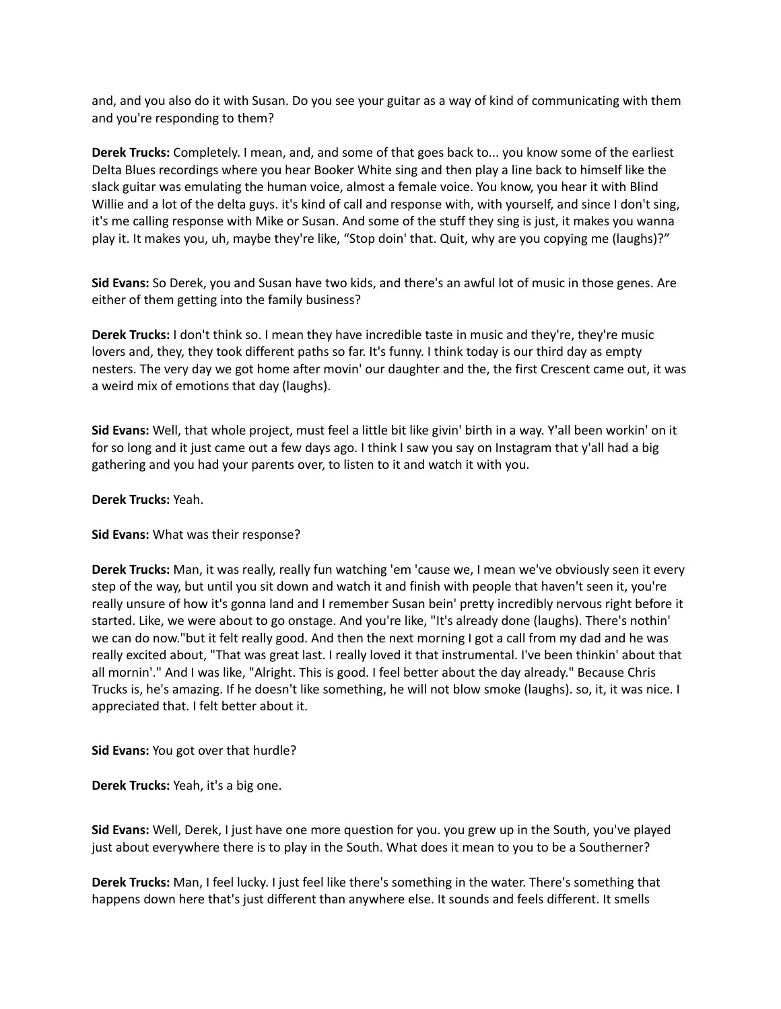and, and you also do it with Susan. Do you see your guitar as a way of kind of communicating with them and you're responding to them?

**Derek Trucks:** Completely. I mean, and, and some of that goes back to... you know some of the earliest Delta Blues recordings where you hear Booker White sing and then play a line back to himself like the slack guitar was emulating the human voice, almost a female voice. You know, you hear it with Blind Willie and a lot of the delta guys. it's kind of call and response with, with yourself, and since I don't sing, it's me calling response with Mike or Susan. And some of the stuff they sing is just, it makes you wanna play it. It makes you, uh, maybe they're like, "Stop doin' that. Quit, why are you copying me (laughs)?"

**Sid Evans:** So Derek, you and Susan have two kids, and there's an awful lot of music in those genes. Are either of them getting into the family business?

**Derek Trucks:** I don't think so. I mean they have incredible taste in music and they're, they're music lovers and, they, they took different paths so far. It's funny. I think today is our third day as empty nesters. The very day we got home after movin' our daughter and the, the first Crescent came out, it was a weird mix of emotions that day (laughs).

**Sid Evans:** Well, that whole project, must feel a little bit like givin' birth in a way. Y'all been workin' on it for so long and it just came out a few days ago. I think I saw you say on Instagram that y'all had a big gathering and you had your parents over, to listen to it and watch it with you.

**Derek Trucks:** Yeah.

**Sid Evans:** What was their response?

**Derek Trucks:** Man, it was really, really fun watching 'em 'cause we, I mean we've obviously seen it every step of the way, but until you sit down and watch it and finish with people that haven't seen it, you're really unsure of how it's gonna land and I remember Susan bein' pretty incredibly nervous right before it started. Like, we were about to go onstage. And you're like, "It's already done (laughs). There's nothin' we can do now."but it felt really good. And then the next morning I got a call from my dad and he was really excited about, "That was great last. I really loved it that instrumental. I've been thinkin' about that all mornin'." And I was like, "Alright. This is good. I feel better about the day already." Because Chris Trucks is, he's amazing. If he doesn't like something, he will not blow smoke (laughs). so, it, it was nice. I appreciated that. I felt better about it.

**Sid Evans:** You got over that hurdle?

**Derek Trucks:** Yeah, it's a big one.

**Sid Evans:** Well, Derek, I just have one more question for you. you grew up in the South, you've played just about everywhere there is to play in the South. What does it mean to you to be a Southerner?

**Derek Trucks:** Man, I feel lucky. I just feel like there's something in the water. There's something that happens down here that's just different than anywhere else. It sounds and feels different. It smells